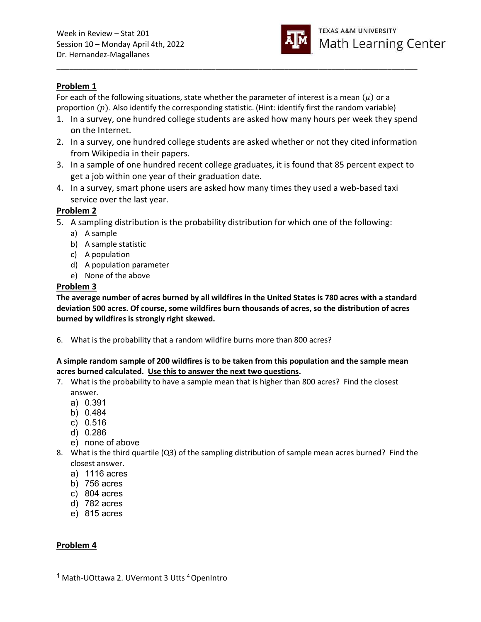

# Problem 1

For each of the following situations, state whether the parameter of interest is a mean  $(\mu)$  or a proportion  $(p)$ . Also identify the corresponding statistic. (Hint: identify first the random variable)

1. In a survey, one hundred college students are asked how many hours per week they spend on the Internet.

\_\_\_\_\_\_\_\_\_\_\_\_\_\_\_\_\_\_\_\_\_\_\_\_\_\_\_\_\_\_\_\_\_\_\_\_\_\_\_\_\_\_\_\_\_\_\_\_\_\_\_\_\_\_\_\_\_\_\_\_\_\_\_\_\_\_\_\_\_\_\_\_\_\_\_\_\_\_\_\_\_\_\_\_

- 2. In a survey, one hundred college students are asked whether or not they cited information from Wikipedia in their papers.
- 3. In a sample of one hundred recent college graduates, it is found that 85 percent expect to get a job within one year of their graduation date.
- 4. In a survey, smart phone users are asked how many times they used a web-based taxi service over the last year.

# Problem 2

- 5. A sampling distribution is the probability distribution for which one of the following:
	- a) A sample
	- b) A sample statistic
	- c) A population
	- d) A population parameter
	- e) None of the above

## Problem 3

The average number of acres burned by all wildfires in the United States is 780 acres with a standard deviation 500 acres. Of course, some wildfires burn thousands of acres, so the distribution of acres burned by wildfires is strongly right skewed.

6. What is the probability that a random wildfire burns more than 800 acres?

### A simple random sample of 200 wildfires is to be taken from this population and the sample mean acres burned calculated. Use this to answer the next two questions.

- 7. What is the probability to have a sample mean that is higher than 800 acres? Find the closest answer.
	- a) 0.391
	- b) 0.484
	- c) 0.516
	- d) 0.286
	- e) none of above
- 8. What is the third quartile (Q3) of the sampling distribution of sample mean acres burned? Find the closest answer.
	- a) 1116 acres
	- b) 756 acres
	- c) 804 acres
	- d) 782 acres
	- e) 815 acres

## Problem 4

<sup>1</sup> Math-UOttawa 2. UVermont 3 Utts <sup>4</sup> OpenIntro